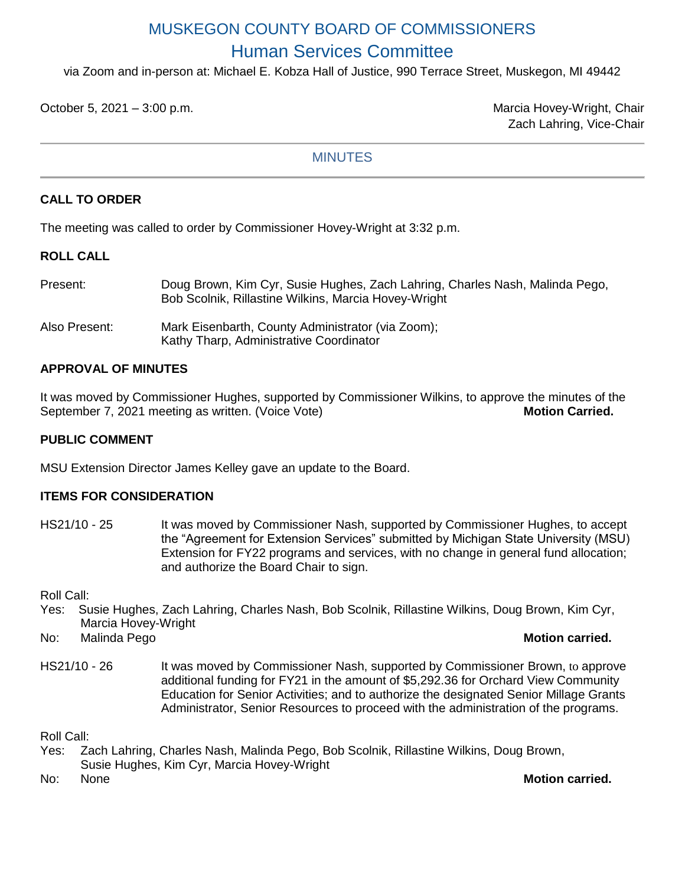# MUSKEGON COUNTY BOARD OF COMMISSIONERS Human Services Committee

via Zoom and in-person at: Michael E. Kobza Hall of Justice, 990 Terrace Street, Muskegon, MI 49442

October 5, 2021 – 3:00 p.m. Marcia Hovey-Wright, Chair

Zach Lahring, Vice-Chair

## **MINUTES**

# **CALL TO ORDER**

The meeting was called to order by Commissioner Hovey-Wright at 3:32 p.m.

## **ROLL CALL**

| Present:      | Doug Brown, Kim Cyr, Susie Hughes, Zach Lahring, Charles Nash, Malinda Pego,<br>Bob Scolnik, Rillastine Wilkins, Marcia Hovey-Wright |
|---------------|--------------------------------------------------------------------------------------------------------------------------------------|
| Also Present: | Mark Eisenbarth, County Administrator (via Zoom);<br>Kathy Tharp, Administrative Coordinator                                         |

## **APPROVAL OF MINUTES**

It was moved by Commissioner Hughes, supported by Commissioner Wilkins, to approve the minutes of the September 7, 2021 meeting as written. (Voice Vote) **Motion Carried.** Motion Carried.

## **PUBLIC COMMENT**

MSU Extension Director James Kelley gave an update to the Board.

## **ITEMS FOR CONSIDERATION**

HS21/10 - 25 It was moved by Commissioner Nash, supported by Commissioner Hughes, to accept the "Agreement for Extension Services" submitted by Michigan State University (MSU) Extension for FY22 programs and services, with no change in general fund allocation; and authorize the Board Chair to sign.

Roll Call:

- Yes: Susie Hughes, Zach Lahring, Charles Nash, Bob Scolnik, Rillastine Wilkins, Doug Brown, Kim Cyr, Marcia Hovey-Wright
- No: Malinda Pego **Motion carried.**
- HS21/10 26 It was moved by Commissioner Nash, supported by Commissioner Brown, to approve additional funding for FY21 in the amount of \$5,292.36 for Orchard View Community Education for Senior Activities; and to authorize the designated Senior Millage Grants Administrator, Senior Resources to proceed with the administration of the programs.

Roll Call:

Yes: Zach Lahring, Charles Nash, Malinda Pego, Bob Scolnik, Rillastine Wilkins, Doug Brown, Susie Hughes, Kim Cyr, Marcia Hovey-Wright

#### No: None **Motion carried.**